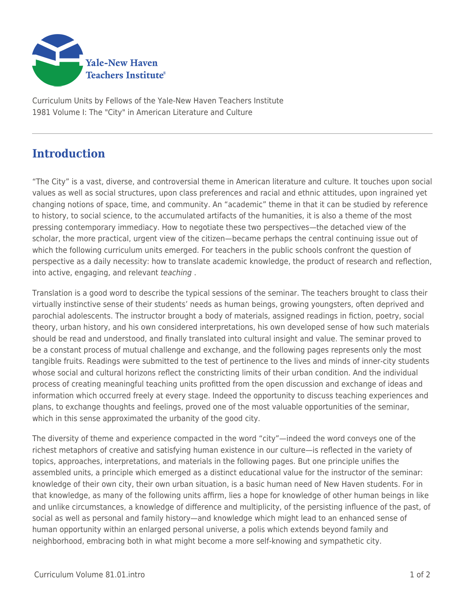

Curriculum Units by Fellows of the Yale-New Haven Teachers Institute 1981 Volume I: The "City" in American Literature and Culture

## **Introduction**

"The City" is a vast, diverse, and controversial theme in American literature and culture. It touches upon social values as well as social structures, upon class preferences and racial and ethnic attitudes, upon ingrained yet changing notions of space, time, and community. An "academic" theme in that it can be studied by reference to history, to social science, to the accumulated artifacts of the humanities, it is also a theme of the most pressing contemporary immediacy. How to negotiate these two perspectives—the detached view of the scholar, the more practical, urgent view of the citizen—became perhaps the central continuing issue out of which the following curriculum units emerged. For teachers in the public schools confront the question of perspective as a daily necessity: how to translate academic knowledge, the product of research and reflection, into active, engaging, and relevant teaching .

Translation is a good word to describe the typical sessions of the seminar. The teachers brought to class their virtually instinctive sense of their students' needs as human beings, growing youngsters, often deprived and parochial adolescents. The instructor brought a body of materials, assigned readings in fiction, poetry, social theory, urban history, and his own considered interpretations, his own developed sense of how such materials should be read and understood, and finally translated into cultural insight and value. The seminar proved to be a constant process of mutual challenge and exchange, and the following pages represents only the most tangible fruits. Readings were submitted to the test of pertinence to the lives and minds of inner-city students whose social and cultural horizons reflect the constricting limits of their urban condition. And the individual process of creating meaningful teaching units profitted from the open discussion and exchange of ideas and information which occurred freely at every stage. Indeed the opportunity to discuss teaching experiences and plans, to exchange thoughts and feelings, proved one of the most valuable opportunities of the seminar, which in this sense approximated the urbanity of the good city.

The diversity of theme and experience compacted in the word "city"—indeed the word conveys one of the richest metaphors of creative and satisfying human existence in our culture—is reflected in the variety of topics, approaches, interpretations, and materials in the following pages. But one principle unifies the assembled units, a principle which emerged as a distinct educational value for the instructor of the seminar: knowledge of their own city, their own urban situation, is a basic human need of New Haven students. For in that knowledge, as many of the following units affirm, lies a hope for knowledge of other human beings in like and unlike circumstances, a knowledge of difference and multiplicity, of the persisting influence of the past, of social as well as personal and family history—and knowledge which might lead to an enhanced sense of human opportunity within an enlarged personal universe, a polis which extends beyond family and neighborhood, embracing both in what might become a more self-knowing and sympathetic city.